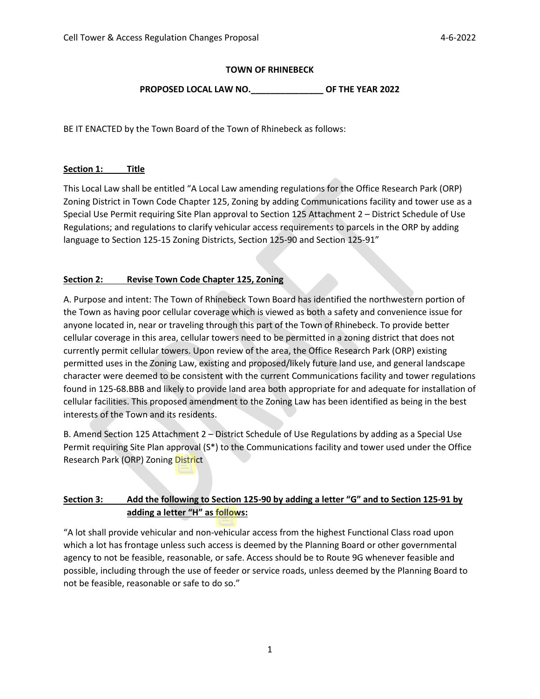## **TOWN OF RHINEBECK**

## PROPOSED LOCAL LAW NO. OF THE YEAR 2022

BE IT ENACTED by the Town Board of the Town of Rhinebeck as follows:

#### **Section 1: Title**

This Local Law shall be entitled "A Local Law amending regulations for the Office Research Park (ORP) Zoning District in Town Code Chapter 125, Zoning by adding Communications facility and tower use as a Special Use Permit requiring Site Plan approval to Section 125 Attachment 2 – District Schedule of Use Regulations; and regulations to clarify vehicular access requirements to parcels in the ORP by adding language to Section 125-15 Zoning Districts, Section 125-90 and Section 125-91"

### **Section 2: Revise Town Code Chapter 125, Zoning**

A. Purpose and intent: The Town of Rhinebeck Town Board has identified the northwestern portion of the Town as having poor cellular coverage which is viewed as both a safety and convenience issue for anyone located in, near or traveling through this part of the Town of Rhinebeck. To provide better cellular coverage in this area, cellular towers need to be permitted in a zoning district that does not currently permit cellular towers. Upon review of the area, the Office Research Park (ORP) existing permitted uses in the Zoning Law, existing and proposed/likely future land use, and general landscape character were deemed to be consistent with the current Communications facility and tower regulations found in 125-68.BBB and likely to provide land area both appropriate for and adequate for installation of cellular facilities. This proposed amendment to the Zoning Law has been identified as being in the best interests of the Town and its residents.

B. Amend Section 125 Attachment 2 – District Schedule of Use Regulations by adding as a Special Use Permit requiring Site Plan approval (S\*) to the Communications facility and tower used under the Office Research Park (ORP) Zoning District

# **Section 3: Add the following to Section 125-90 by adding a letter "G" and to Section 125-91 by adding a letter "H" as follows:**

"A lot shall provide vehicular and non-vehicular access from the highest Functional Class road upon which a lot has frontage unless such access is deemed by the Planning Board or other governmental agency to not be feasible, reasonable, or safe. Access should be to Route 9G whenever feasible and possible, including through the use of feeder or service roads, unless deemed by the Planning Board to not be feasible, reasonable or safe to do so."